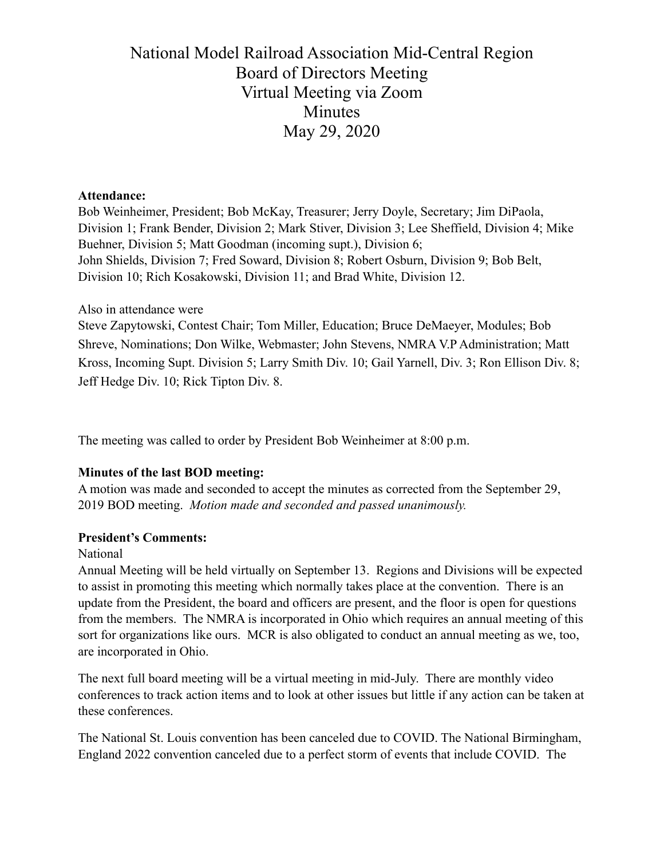# National Model Railroad Association Mid-Central Region Board of Directors Meeting Virtual Meeting via Zoom **Minutes** May 29, 2020

#### **Attendance:**

Bob Weinheimer, President; Bob McKay, Treasurer; Jerry Doyle, Secretary; Jim DiPaola, Division 1; Frank Bender, Division 2; Mark Stiver, Division 3; Lee Sheffield, Division 4; Mike Buehner, Division 5; Matt Goodman (incoming supt.), Division 6; John Shields, Division 7; Fred Soward, Division 8; Robert Osburn, Division 9; Bob Belt, Division 10; Rich Kosakowski, Division 11; and Brad White, Division 12.

#### Also in attendance were

Steve Zapytowski, Contest Chair; Tom Miller, Education; Bruce DeMaeyer, Modules; Bob Shreve, Nominations; Don Wilke, Webmaster; John Stevens, NMRA V.P Administration; Matt Kross, Incoming Supt. Division 5; Larry Smith Div. 10; Gail Yarnell, Div. 3; Ron Ellison Div. 8; Jeff Hedge Div. 10; Rick Tipton Div. 8.

The meeting was called to order by President Bob Weinheimer at 8:00 p.m.

# **Minutes of the last BOD meeting:**

A motion was made and seconded to accept the minutes as corrected from the September 29, 2019 BOD meeting. *Motion made and seconded and passed unanimously.* 

# **President's Comments:**

# National

Annual Meeting will be held virtually on September 13. Regions and Divisions will be expected to assist in promoting this meeting which normally takes place at the convention. There is an update from the President, the board and officers are present, and the floor is open for questions from the members. The NMRA is incorporated in Ohio which requires an annual meeting of this sort for organizations like ours. MCR is also obligated to conduct an annual meeting as we, too, are incorporated in Ohio.

The next full board meeting will be a virtual meeting in mid-July. There are monthly video conferences to track action items and to look at other issues but little if any action can be taken at these conferences.

The National St. Louis convention has been canceled due to COVID. The National Birmingham, England 2022 convention canceled due to a perfect storm of events that include COVID. The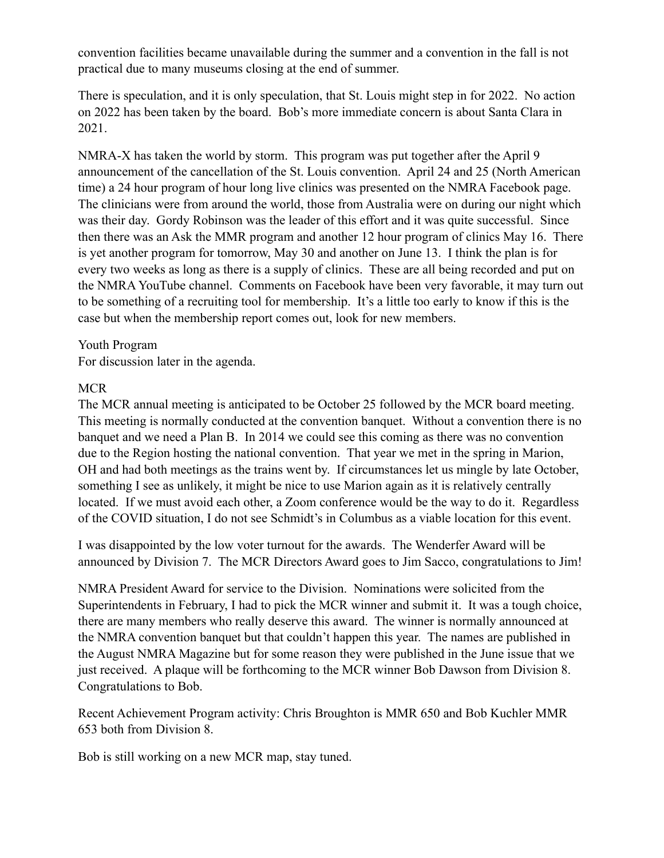convention facilities became unavailable during the summer and a convention in the fall is not practical due to many museums closing at the end of summer.

There is speculation, and it is only speculation, that St. Louis might step in for 2022. No action on 2022 has been taken by the board. Bob's more immediate concern is about Santa Clara in 2021.

NMRA-X has taken the world by storm. This program was put together after the April 9 announcement of the cancellation of the St. Louis convention. April 24 and 25 (North American time) a 24 hour program of hour long live clinics was presented on the NMRA Facebook page. The clinicians were from around the world, those from Australia were on during our night which was their day. Gordy Robinson was the leader of this effort and it was quite successful. Since then there was an Ask the MMR program and another 12 hour program of clinics May 16. There is yet another program for tomorrow, May 30 and another on June 13. I think the plan is for every two weeks as long as there is a supply of clinics. These are all being recorded and put on the NMRA YouTube channel. Comments on Facebook have been very favorable, it may turn out to be something of a recruiting tool for membership. It's a little too early to know if this is the case but when the membership report comes out, look for new members.

#### Youth Program

For discussion later in the agenda.

#### MCR

The MCR annual meeting is anticipated to be October 25 followed by the MCR board meeting. This meeting is normally conducted at the convention banquet. Without a convention there is no banquet and we need a Plan B. In 2014 we could see this coming as there was no convention due to the Region hosting the national convention. That year we met in the spring in Marion, OH and had both meetings as the trains went by. If circumstances let us mingle by late October, something I see as unlikely, it might be nice to use Marion again as it is relatively centrally located. If we must avoid each other, a Zoom conference would be the way to do it. Regardless of the COVID situation, I do not see Schmidt's in Columbus as a viable location for this event.

I was disappointed by the low voter turnout for the awards. The Wenderfer Award will be announced by Division 7. The MCR Directors Award goes to Jim Sacco, congratulations to Jim!

NMRA President Award for service to the Division. Nominations were solicited from the Superintendents in February, I had to pick the MCR winner and submit it. It was a tough choice, there are many members who really deserve this award. The winner is normally announced at the NMRA convention banquet but that couldn't happen this year. The names are published in the August NMRA Magazine but for some reason they were published in the June issue that we just received. A plaque will be forthcoming to the MCR winner Bob Dawson from Division 8. Congratulations to Bob.

Recent Achievement Program activity: Chris Broughton is MMR 650 and Bob Kuchler MMR 653 both from Division 8.

Bob is still working on a new MCR map, stay tuned.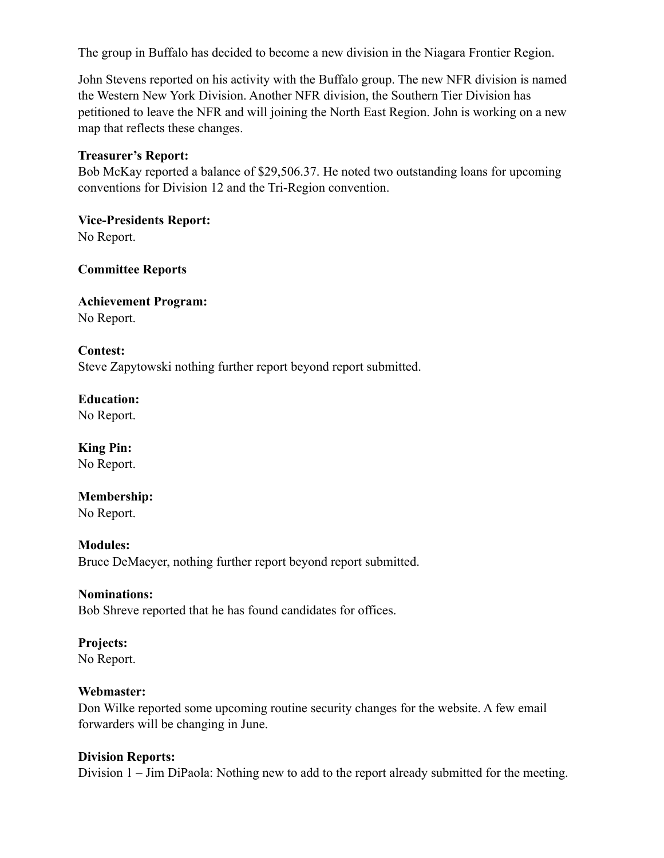The group in Buffalo has decided to become a new division in the Niagara Frontier Region.

John Stevens reported on his activity with the Buffalo group. The new NFR division is named the Western New York Division. Another NFR division, the Southern Tier Division has petitioned to leave the NFR and will joining the North East Region. John is working on a new map that reflects these changes.

#### **Treasurer's Report:**

Bob McKay reported a balance of \$29,506.37. He noted two outstanding loans for upcoming conventions for Division 12 and the Tri-Region convention.

**Vice-Presidents Report:**  No Report.

**Committee Reports** 

# **Achievement Program:** No Report.

**Contest:** Steve Zapytowski nothing further report beyond report submitted.

**Education:**  No Report.

**King Pin:**  No Report.

**Membership:**  No Report.

**Modules:**  Bruce DeMaeyer, nothing further report beyond report submitted.

#### **Nominations:**

Bob Shreve reported that he has found candidates for offices.

# **Projects:**

No Report.

# **Webmaster:**

Don Wilke reported some upcoming routine security changes for the website. A few email forwarders will be changing in June.

#### **Division Reports:**

Division 1 – Jim DiPaola: Nothing new to add to the report already submitted for the meeting.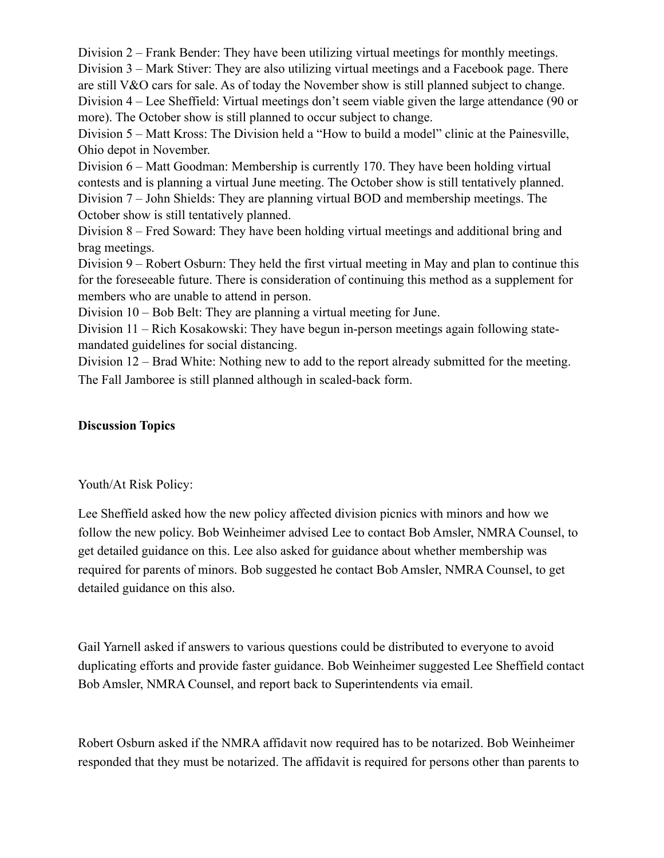Division 2 – Frank Bender: They have been utilizing virtual meetings for monthly meetings. Division 3 – Mark Stiver: They are also utilizing virtual meetings and a Facebook page. There are still V&O cars for sale. As of today the November show is still planned subject to change. Division 4 – Lee Sheffield: Virtual meetings don't seem viable given the large attendance (90 or more). The October show is still planned to occur subject to change.

Division 5 – Matt Kross: The Division held a "How to build a model" clinic at the Painesville, Ohio depot in November.

Division 6 – Matt Goodman: Membership is currently 170. They have been holding virtual contests and is planning a virtual June meeting. The October show is still tentatively planned. Division 7 – John Shields: They are planning virtual BOD and membership meetings. The October show is still tentatively planned.

Division 8 – Fred Soward: They have been holding virtual meetings and additional bring and brag meetings.

Division 9 – Robert Osburn: They held the first virtual meeting in May and plan to continue this for the foreseeable future. There is consideration of continuing this method as a supplement for members who are unable to attend in person.

Division 10 – Bob Belt: They are planning a virtual meeting for June.

Division 11 – Rich Kosakowski: They have begun in-person meetings again following statemandated guidelines for social distancing.

Division 12 – Brad White: Nothing new to add to the report already submitted for the meeting. The Fall Jamboree is still planned although in scaled-back form.

# **Discussion Topics**

Youth/At Risk Policy:

Lee Sheffield asked how the new policy affected division picnics with minors and how we follow the new policy. Bob Weinheimer advised Lee to contact Bob Amsler, NMRA Counsel, to get detailed guidance on this. Lee also asked for guidance about whether membership was required for parents of minors. Bob suggested he contact Bob Amsler, NMRA Counsel, to get detailed guidance on this also.

Gail Yarnell asked if answers to various questions could be distributed to everyone to avoid duplicating efforts and provide faster guidance. Bob Weinheimer suggested Lee Sheffield contact Bob Amsler, NMRA Counsel, and report back to Superintendents via email.

Robert Osburn asked if the NMRA affidavit now required has to be notarized. Bob Weinheimer responded that they must be notarized. The affidavit is required for persons other than parents to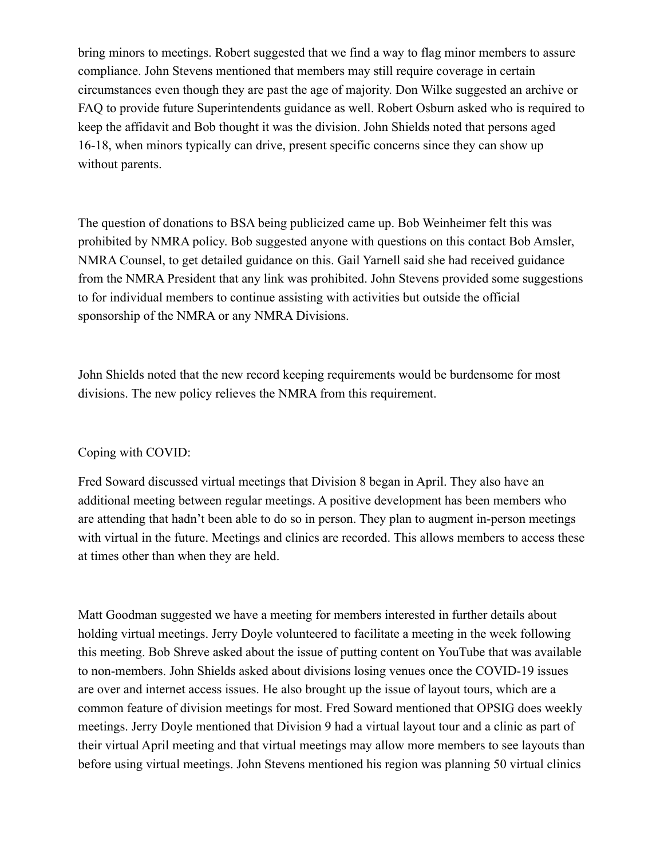bring minors to meetings. Robert suggested that we find a way to flag minor members to assure compliance. John Stevens mentioned that members may still require coverage in certain circumstances even though they are past the age of majority. Don Wilke suggested an archive or FAQ to provide future Superintendents guidance as well. Robert Osburn asked who is required to keep the affidavit and Bob thought it was the division. John Shields noted that persons aged 16-18, when minors typically can drive, present specific concerns since they can show up without parents.

The question of donations to BSA being publicized came up. Bob Weinheimer felt this was prohibited by NMRA policy. Bob suggested anyone with questions on this contact Bob Amsler, NMRA Counsel, to get detailed guidance on this. Gail Yarnell said she had received guidance from the NMRA President that any link was prohibited. John Stevens provided some suggestions to for individual members to continue assisting with activities but outside the official sponsorship of the NMRA or any NMRA Divisions.

John Shields noted that the new record keeping requirements would be burdensome for most divisions. The new policy relieves the NMRA from this requirement.

# Coping with COVID:

Fred Soward discussed virtual meetings that Division 8 began in April. They also have an additional meeting between regular meetings. A positive development has been members who are attending that hadn't been able to do so in person. They plan to augment in-person meetings with virtual in the future. Meetings and clinics are recorded. This allows members to access these at times other than when they are held.

Matt Goodman suggested we have a meeting for members interested in further details about holding virtual meetings. Jerry Doyle volunteered to facilitate a meeting in the week following this meeting. Bob Shreve asked about the issue of putting content on YouTube that was available to non-members. John Shields asked about divisions losing venues once the COVID-19 issues are over and internet access issues. He also brought up the issue of layout tours, which are a common feature of division meetings for most. Fred Soward mentioned that OPSIG does weekly meetings. Jerry Doyle mentioned that Division 9 had a virtual layout tour and a clinic as part of their virtual April meeting and that virtual meetings may allow more members to see layouts than before using virtual meetings. John Stevens mentioned his region was planning 50 virtual clinics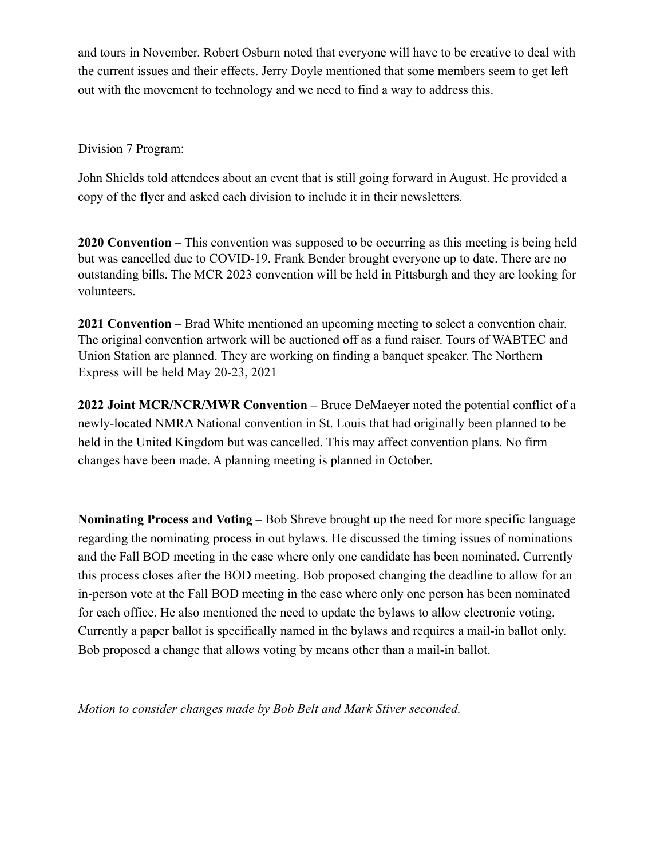and tours in November. Robert Osburn noted that everyone will have to be creative to deal with the current issues and their effects. Jerry Doyle mentioned that some members seem to get left out with the movement to technology and we need to find a way to address this.

Division 7 Program:

John Shields told attendees about an event that is still going forward in August. He provided a copy of the flyer and asked each division to include it in their newsletters.

**2020 Convention** – This convention was supposed to be occurring as this meeting is being held but was cancelled due to COVID-19. Frank Bender brought everyone up to date. There are no outstanding bills. The MCR 2023 convention will be held in Pittsburgh and they are looking for volunteers.

**2021 Convention** – Brad White mentioned an upcoming meeting to select a convention chair. The original convention artwork will be auctioned off as a fund raiser. Tours of WABTEC and Union Station are planned. They are working on finding a banquet speaker. The Northern Express will be held May 20-23, 2021

**2022 Joint MCR/NCR/MWR Convention –** Bruce DeMaeyer noted the potential conflict of a newly-located NMRA National convention in St. Louis that had originally been planned to be held in the United Kingdom but was cancelled. This may affect convention plans. No firm changes have been made. A planning meeting is planned in October.

**Nominating Process and Voting** – Bob Shreve brought up the need for more specific language regarding the nominating process in out bylaws. He discussed the timing issues of nominations and the Fall BOD meeting in the case where only one candidate has been nominated. Currently this process closes after the BOD meeting. Bob proposed changing the deadline to allow for an in-person vote at the Fall BOD meeting in the case where only one person has been nominated for each office. He also mentioned the need to update the bylaws to allow electronic voting. Currently a paper ballot is specifically named in the bylaws and requires a mail-in ballot only. Bob proposed a change that allows voting by means other than a mail-in ballot.

*Motion to consider changes made by Bob Belt and Mark Stiver seconded.*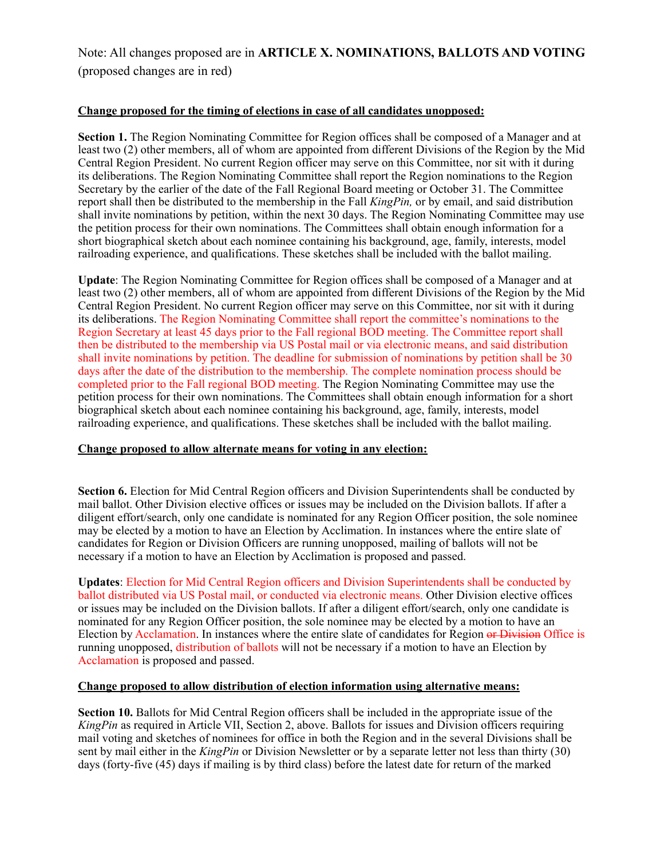Note: All changes proposed are in **ARTICLE X. NOMINATIONS, BALLOTS AND VOTING**  (proposed changes are in red)

#### **Change proposed for the timing of elections in case of all candidates unopposed:**

**Section 1.** The Region Nominating Committee for Region offices shall be composed of a Manager and at least two (2) other members, all of whom are appointed from different Divisions of the Region by the Mid Central Region President. No current Region officer may serve on this Committee, nor sit with it during its deliberations. The Region Nominating Committee shall report the Region nominations to the Region Secretary by the earlier of the date of the Fall Regional Board meeting or October 31. The Committee report shall then be distributed to the membership in the Fall *KingPin,* or by email, and said distribution shall invite nominations by petition, within the next 30 days. The Region Nominating Committee may use the petition process for their own nominations. The Committees shall obtain enough information for a short biographical sketch about each nominee containing his background, age, family, interests, model railroading experience, and qualifications. These sketches shall be included with the ballot mailing.

**Update**: The Region Nominating Committee for Region offices shall be composed of a Manager and at least two (2) other members, all of whom are appointed from different Divisions of the Region by the Mid Central Region President. No current Region officer may serve on this Committee, nor sit with it during its deliberations. The Region Nominating Committee shall report the committee's nominations to the Region Secretary at least 45 days prior to the Fall regional BOD meeting. The Committee report shall then be distributed to the membership via US Postal mail or via electronic means, and said distribution shall invite nominations by petition. The deadline for submission of nominations by petition shall be 30 days after the date of the distribution to the membership. The complete nomination process should be completed prior to the Fall regional BOD meeting. The Region Nominating Committee may use the petition process for their own nominations. The Committees shall obtain enough information for a short biographical sketch about each nominee containing his background, age, family, interests, model railroading experience, and qualifications. These sketches shall be included with the ballot mailing.

#### **Change proposed to allow alternate means for voting in any election:**

**Section 6.** Election for Mid Central Region officers and Division Superintendents shall be conducted by mail ballot. Other Division elective offices or issues may be included on the Division ballots. If after a diligent effort/search, only one candidate is nominated for any Region Officer position, the sole nominee may be elected by a motion to have an Election by Acclimation. In instances where the entire slate of candidates for Region or Division Officers are running unopposed, mailing of ballots will not be necessary if a motion to have an Election by Acclimation is proposed and passed.

**Updates**: Election for Mid Central Region officers and Division Superintendents shall be conducted by ballot distributed via US Postal mail, or conducted via electronic means. Other Division elective offices or issues may be included on the Division ballots. If after a diligent effort/search, only one candidate is nominated for any Region Officer position, the sole nominee may be elected by a motion to have an Election by Acclamation. In instances where the entire slate of candidates for Region or Division Office is running unopposed, distribution of ballots will not be necessary if a motion to have an Election by Acclamation is proposed and passed.

#### **Change proposed to allow distribution of election information using alternative means:**

**Section 10.** Ballots for Mid Central Region officers shall be included in the appropriate issue of the *KingPin* as required in Article VII, Section 2, above. Ballots for issues and Division officers requiring mail voting and sketches of nominees for office in both the Region and in the several Divisions shall be sent by mail either in the *KingPin* or Division Newsletter or by a separate letter not less than thirty (30) days (forty-five (45) days if mailing is by third class) before the latest date for return of the marked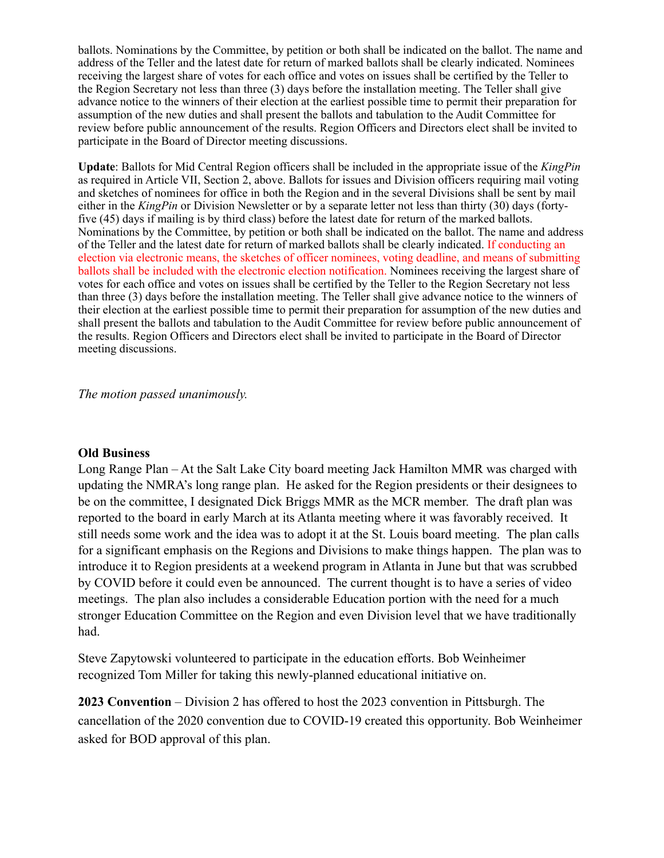ballots. Nominations by the Committee, by petition or both shall be indicated on the ballot. The name and address of the Teller and the latest date for return of marked ballots shall be clearly indicated. Nominees receiving the largest share of votes for each office and votes on issues shall be certified by the Teller to the Region Secretary not less than three (3) days before the installation meeting. The Teller shall give advance notice to the winners of their election at the earliest possible time to permit their preparation for assumption of the new duties and shall present the ballots and tabulation to the Audit Committee for review before public announcement of the results. Region Officers and Directors elect shall be invited to participate in the Board of Director meeting discussions.

**Update**: Ballots for Mid Central Region officers shall be included in the appropriate issue of the *KingPin*  as required in Article VII, Section 2, above. Ballots for issues and Division officers requiring mail voting and sketches of nominees for office in both the Region and in the several Divisions shall be sent by mail either in the *KingPin* or Division Newsletter or by a separate letter not less than thirty (30) days (fortyfive (45) days if mailing is by third class) before the latest date for return of the marked ballots. Nominations by the Committee, by petition or both shall be indicated on the ballot. The name and address of the Teller and the latest date for return of marked ballots shall be clearly indicated. If conducting an election via electronic means, the sketches of officer nominees, voting deadline, and means of submitting ballots shall be included with the electronic election notification. Nominees receiving the largest share of votes for each office and votes on issues shall be certified by the Teller to the Region Secretary not less than three (3) days before the installation meeting. The Teller shall give advance notice to the winners of their election at the earliest possible time to permit their preparation for assumption of the new duties and shall present the ballots and tabulation to the Audit Committee for review before public announcement of the results. Region Officers and Directors elect shall be invited to participate in the Board of Director meeting discussions.

*The motion passed unanimously.* 

#### **Old Business**

Long Range Plan – At the Salt Lake City board meeting Jack Hamilton MMR was charged with updating the NMRA's long range plan. He asked for the Region presidents or their designees to be on the committee, I designated Dick Briggs MMR as the MCR member. The draft plan was reported to the board in early March at its Atlanta meeting where it was favorably received. It still needs some work and the idea was to adopt it at the St. Louis board meeting. The plan calls for a significant emphasis on the Regions and Divisions to make things happen. The plan was to introduce it to Region presidents at a weekend program in Atlanta in June but that was scrubbed by COVID before it could even be announced. The current thought is to have a series of video meetings. The plan also includes a considerable Education portion with the need for a much stronger Education Committee on the Region and even Division level that we have traditionally had.

Steve Zapytowski volunteered to participate in the education efforts. Bob Weinheimer recognized Tom Miller for taking this newly-planned educational initiative on.

**2023 Convention** – Division 2 has offered to host the 2023 convention in Pittsburgh. The cancellation of the 2020 convention due to COVID-19 created this opportunity. Bob Weinheimer asked for BOD approval of this plan.